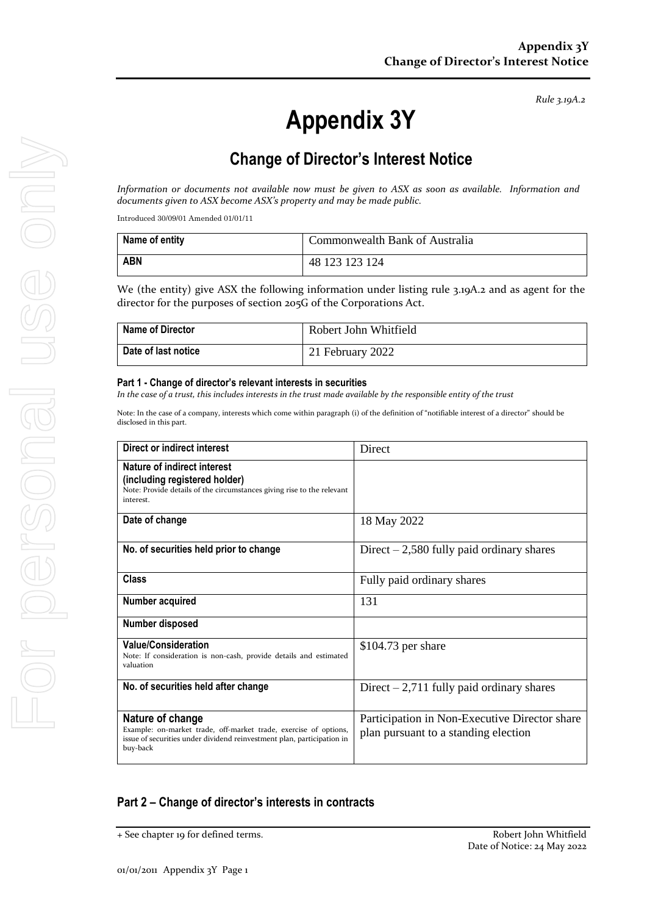*Rule 3.19A.2*

# **Appendix 3Y**

## **Change of Director's Interest Notice**

*Information or documents not available now must be given to ASX as soon as available. Information and documents given to ASX become ASX's property and may be made public.*

Introduced 30/09/01 Amended 01/01/11

| Name of entity | Commonwealth Bank of Australia |
|----------------|--------------------------------|
| <b>ABN</b>     | 48 123 123 124                 |

We (the entity) give ASX the following information under listing rule 3.19A.2 and as agent for the director for the purposes of section 205G of the Corporations Act.

| <b>Name of Director</b> | Robert John Whitfield |
|-------------------------|-----------------------|
| Date of last notice     | 21 February 2022      |

#### **Part 1 - Change of director's relevant interests in securities**

*In the case of a trust, this includes interests in the trust made available by the responsible entity of the trust*

Note: In the case of a company, interests which come within paragraph (i) of the definition of "notifiable interest of a director" should be disclosed in this part.

| Direct or indirect interest                                                                                                                                                | Direct                                                                                |
|----------------------------------------------------------------------------------------------------------------------------------------------------------------------------|---------------------------------------------------------------------------------------|
| Nature of indirect interest<br>(including registered holder)<br>Note: Provide details of the circumstances giving rise to the relevant<br>interest.                        |                                                                                       |
| Date of change                                                                                                                                                             | 18 May 2022                                                                           |
| No. of securities held prior to change                                                                                                                                     | Direct $-2,580$ fully paid ordinary shares                                            |
| Class                                                                                                                                                                      | Fully paid ordinary shares                                                            |
| Number acquired                                                                                                                                                            | 131                                                                                   |
| Number disposed                                                                                                                                                            |                                                                                       |
| <b>Value/Consideration</b><br>Note: If consideration is non-cash, provide details and estimated<br>valuation                                                               | $$104.73$ per share                                                                   |
| No. of securities held after change                                                                                                                                        | Direct $-2,711$ fully paid ordinary shares                                            |
| Nature of change<br>Example: on-market trade, off-market trade, exercise of options,<br>issue of securities under dividend reinvestment plan, participation in<br>buy-back | Participation in Non-Executive Director share<br>plan pursuant to a standing election |

#### **Part 2 – Change of director's interests in contracts**

<sup>+</sup> See chapter 19 for defined terms. Robert John Whitfield